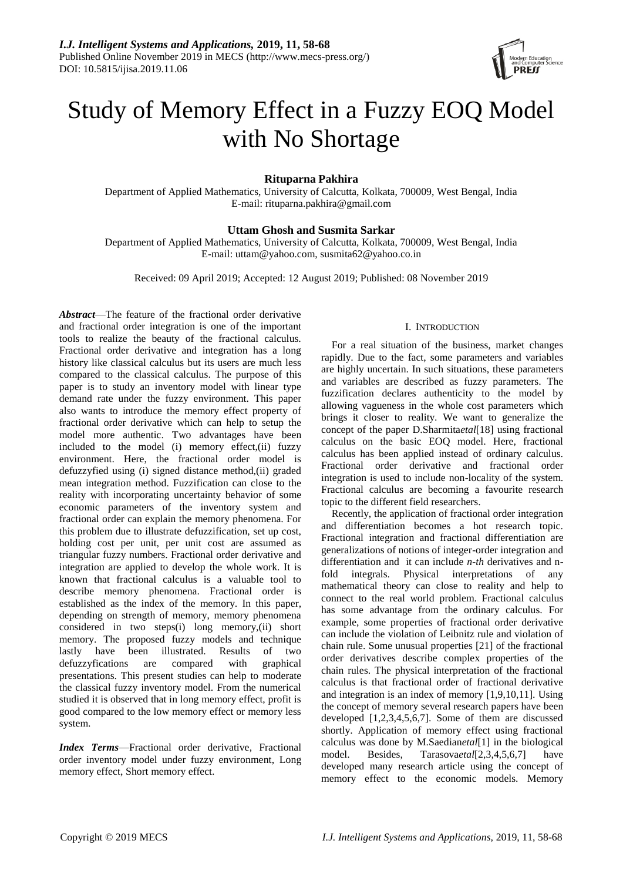

# Study of Memory Effect in a Fuzzy EOQ Model with No Shortage

**Rituparna Pakhira**

Department of Applied Mathematics, University of Calcutta, Kolkata, 700009, West Bengal, India E-mail: rituparna.pakhira@gmail.com

# **Uttam Ghosh and Susmita Sarkar**

Department of Applied Mathematics, University of Calcutta, Kolkata, 700009, West Bengal, India E-mail: uttam@yahoo.com, susmita62@yahoo.co.in

Received: 09 April 2019; Accepted: 12 August 2019; Published: 08 November 2019

*Abstract*—The feature of the fractional order derivative and fractional order integration is one of the important tools to realize the beauty of the fractional calculus. Fractional order derivative and integration has a long history like classical calculus but its users are much less compared to the classical calculus. The purpose of this paper is to study an inventory model with linear type demand rate under the fuzzy environment. This paper also wants to introduce the memory effect property of fractional order derivative which can help to setup the model more authentic. Two advantages have been included to the model (i) memory effect,(ii) fuzzy environment. Here, the fractional order model is defuzzyfied using (i) signed distance method,(ii) graded mean integration method. Fuzzification can close to the reality with incorporating uncertainty behavior of some economic parameters of the inventory system and fractional order can explain the memory phenomena. For this problem due to illustrate defuzzification, set up cost, holding cost per unit, per unit cost are assumed as triangular fuzzy numbers. Fractional order derivative and integration are applied to develop the whole work. It is known that fractional calculus is a valuable tool to describe memory phenomena. Fractional order is established as the index of the memory. In this paper, depending on strength of memory, memory phenomena considered in two steps(i) long memory,(ii) short memory. The proposed fuzzy models and technique lastly have been illustrated. Results of two defuzzyfications are compared with graphical presentations. This present studies can help to moderate the classical fuzzy inventory model. From the numerical studied it is observed that in long memory effect, profit is good compared to the low memory effect or memory less system.

*Index Terms*—Fractional order derivative, Fractional order inventory model under fuzzy environment, Long memory effect, Short memory effect.

# I. INTRODUCTION

For a real situation of the business, market changes rapidly. Due to the fact, some parameters and variables are highly uncertain. In such situations, these parameters and variables are described as fuzzy parameters. The fuzzification declares authenticity to the model by allowing vagueness in the whole cost parameters which brings it closer to reality. We want to generalize the concept of the paper D.Sharmita*etal*[18] using fractional calculus on the basic EOQ model. Here, fractional calculus has been applied instead of ordinary calculus. Fractional order derivative and fractional order integration is used to include non-locality of the system. Fractional calculus are becoming a favourite research topic to the different field researchers.

Recently, the application of fractional order integration and differentiation becomes a hot research topic. Fractional integration and fractional differentiation are generalizations of notions of integer-order integration and differentiation and it can include *n-th* derivatives and nfold integrals. Physical interpretations of any mathematical theory can close to reality and help to connect to the real world problem. Fractional calculus has some advantage from the ordinary calculus. For example, some properties of fractional order derivative can include the violation of Leibnitz rule and violation of chain rule. Some unusual properties [21] of the fractional order derivatives describe complex properties of the chain rules. The physical interpretation of the fractional calculus is that fractional order of fractional derivative and integration is an index of memory [1,9,10,11]. Using the concept of memory several research papers have been developed [1,2,3,4,5,6,7]. Some of them are discussed shortly. Application of memory effect using fractional calculus was done by M.Saedian*etal*[1] in the biological model. Besides, Tarasova*etal*[2,3,4,5,6,7] have developed many research article using the concept of memory effect to the economic models. Memory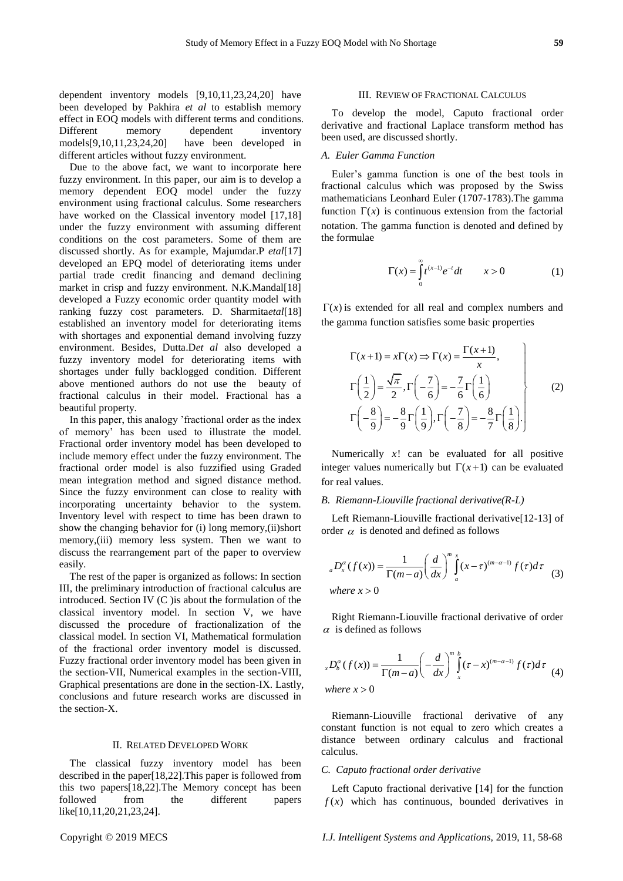dependent inventory models [9,10,11,23,24,20] have been developed by Pakhira *et al* to establish memory effect in EOQ models with different terms and conditions. Different memory dependent inventory models[9,10,11,23,24,20] have been developed in different articles without fuzzy environment.

Due to the above fact, we want to incorporate here fuzzy environment. In this paper, our aim is to develop a memory dependent EOQ model under the fuzzy environment using fractional calculus. Some researchers have worked on the Classical inventory model [17,18] under the fuzzy environment with assuming different conditions on the cost parameters. Some of them are discussed shortly. As for example, Majumdar.P *etal*[17] developed an EPQ model of deteriorating items under partial trade credit financing and demand declining market in crisp and fuzzy environment. N.K.Mandal[18] developed a Fuzzy economic order quantity model with ranking fuzzy cost parameters. D. Sharmita*etal*[18] established an inventory model for deteriorating items with shortages and exponential demand involving fuzzy environment. Besides, Dutta.D*et al* also developed a fuzzy inventory model for deteriorating items with shortages under fully backlogged condition. Different above mentioned authors do not use the beauty of fractional calculus in their model. Fractional has a beautiful property.

In this paper, this analogy 'fractional order as the index of memory' has been used to illustrate the model. Fractional order inventory model has been developed to include memory effect under the fuzzy environment. The fractional order model is also fuzzified using Graded mean integration method and signed distance method. Since the fuzzy environment can close to reality with incorporating uncertainty behavior to the system. Inventory level with respect to time has been drawn to show the changing behavior for (i) long memory,(ii)short memory,(iii) memory less system. Then we want to discuss the rearrangement part of the paper to overview easily.

The rest of the paper is organized as follows: In section III, the preliminary introduction of fractional calculus are introduced. Section IV (C )is about the formulation of the classical inventory model. In section V, we have discussed the procedure of fractionalization of the classical model. In section VI, Mathematical formulation of the fractional order inventory model is discussed. Fuzzy fractional order inventory model has been given in the section-VII, Numerical examples in the section-VIII, Graphical presentations are done in the section-IX. Lastly, conclusions and future research works are discussed in the section-X.

#### II. RELATED DEVELOPED WORK

The classical fuzzy inventory model has been described in the paper[18,22].This paper is followed from this two papers[18,22].The Memory concept has been followed from the different papers like[10,11,20,21,23,24].

#### III. REVIEW OF FRACTIONAL CALCULUS

To develop the model, Caputo fractional order derivative and fractional Laplace transform method has been used, are discussed shortly.

# *A. Euler Gamma Function*

Euler's gamma function is one of the best tools in fractional calculus which was proposed by the Swiss mathematicians Leonhard Euler (1707-1783).The gamma function  $\Gamma(x)$  is continuous extension from the factorial notation. The gamma function is denoted and defined by the formulae

$$
\Gamma(x) = \int_{0}^{\infty} t^{(x-1)} e^{-t} dt \qquad x > 0 \tag{1}
$$

 $\Gamma(x)$  is extended for all real and complex numbers and the gamma function satisfies some basic properties

$$
\Gamma(x+1) = x\Gamma(x) \Rightarrow \Gamma(x) = \frac{\Gamma(x+1)}{x},
$$
\n
$$
\Gamma\left(\frac{1}{2}\right) = \frac{\sqrt{\pi}}{2}, \Gamma\left(-\frac{7}{6}\right) = -\frac{7}{6}\Gamma\left(\frac{1}{6}\right)
$$
\n
$$
\Gamma\left(-\frac{8}{9}\right) = -\frac{8}{9}\Gamma\left(\frac{1}{9}\right), \Gamma\left(-\frac{7}{8}\right) = -\frac{8}{7}\Gamma\left(\frac{1}{8}\right).
$$
\n(2)

Numerically  $x!$  can be evaluated for all positive integer values numerically but  $\Gamma(x+1)$  can be evaluated for real values.

#### *B. Riemann-Liouville fractional derivative(R-L)*

Left Riemann-Liouville fractional derivative[12-13] of order  $\alpha$  is denoted and defined as follows

$$
{}_{a}D_{x}^{\alpha}(f(x)) = \frac{1}{\Gamma(m-a)} \left(\frac{d}{dx}\right)^{m} \int_{a}^{x} (x-\tau)^{(m-a-1)} f(\tau) d\tau
$$
  
where  $x > 0$  (3)

Right Riemann-Liouville fractional derivative of order  $\alpha$  is defined as follows

$$
{}_{x}D_{b}^{\alpha}(f(x)) = \frac{1}{\Gamma(m-a)} \left(-\frac{d}{dx}\right)^{m} \int_{x}^{b} (\tau - x)^{(m-a-1)} f(\tau) d\tau
$$
  
where  $x > 0$  (4)

Riemann-Liouville fractional derivative of any constant function is not equal to zero which creates a distance between ordinary calculus and fractional calculus.

#### *C. Caputo fractional order derivative*

Left Caputo fractional derivative [14] for the function  $f(x)$  which has continuous, bounded derivatives in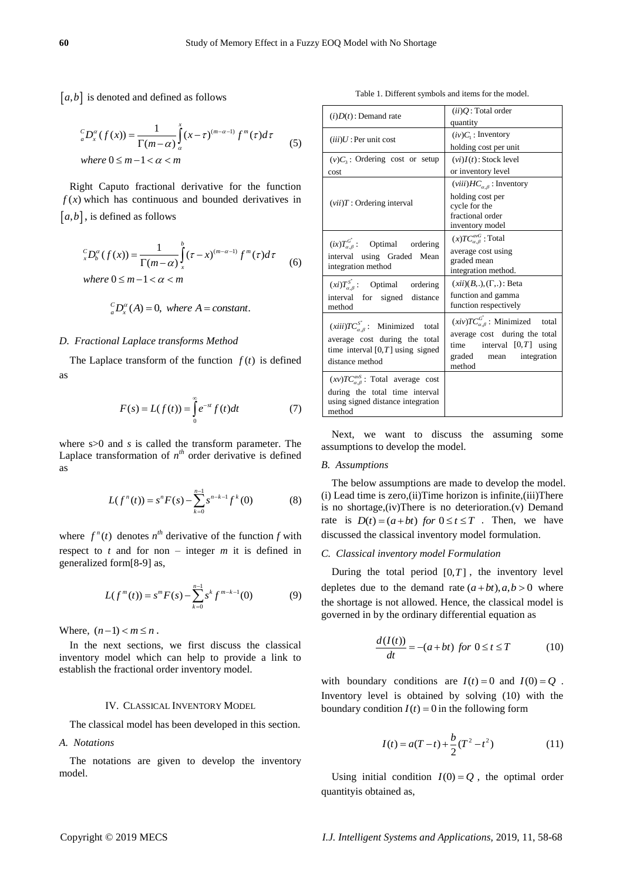$[a,b]$  is denoted and defined as follows

$$
\begin{aligned} \n\ _{a}^{c}D_{x}^{\alpha}(f(x)) &= \frac{1}{\Gamma(m-\alpha)} \int_{\alpha}^{x} (x-\tau)^{(m-\alpha-1)} f^{m}(\tau) d\tau \\ \text{where } 0 \leq m-1 < \alpha < m \end{aligned} \tag{5}
$$

$$
\int_{x}^{C} D_{b}^{\alpha}(f(x)) = \frac{1}{\Gamma(m-\alpha)} \int_{x}^{b} (\tau - x)^{(m-\alpha-1)} f^{m}(\tau) d\tau
$$
\nwhere  $0 \leq m-1 < \alpha < m$ 

\n(6)

$$
{}_{a}^{c}D_{x}^{\alpha}(A)=0, where A=constant.
$$

#### *D. Fractional Laplace transforms Method*

$$
F(s) = L(f(t)) = \int_{0}^{\infty} e^{-st} f(t) dt
$$
 (7)

$$
L(f^{n}(t)) = s^{n} F(s) - \sum_{k=0}^{n-1} s^{n-k-1} f^{k}(0)
$$
 (8)

$$
L(f^{m}(t)) = s^{m} F(s) - \sum_{k=0}^{n-1} s^{k} f^{m-k-1}(0)
$$
 (9)

#### IV. CLASSICAL INVENTORY MODEL

# *A. Notations*

Table 1. Different symbols and items for the model.

| $ a,b $ is denoted and defined as follows                                                                                                        | Table 1. Different symbols and tiems for the model.                                                                                                                                                                                   |                                                                                                                                                                    |  |
|--------------------------------------------------------------------------------------------------------------------------------------------------|---------------------------------------------------------------------------------------------------------------------------------------------------------------------------------------------------------------------------------------|--------------------------------------------------------------------------------------------------------------------------------------------------------------------|--|
|                                                                                                                                                  | $(i)D(t)$ : Demand rate                                                                                                                                                                                                               | $(ii)Q$ : Total order<br>quantity                                                                                                                                  |  |
| ${}_{a}^{c}D_{x}^{\alpha}(f(x))=\frac{1}{\Gamma(m-\alpha)}\int (x-\tau)^{(m-\alpha-1)}f^{m}(\tau)d\tau$<br>(5)                                   | $(iii)U$ : Per unit cost                                                                                                                                                                                                              | $(iv)C1$ : Inventory<br>holding cost per unit                                                                                                                      |  |
| where $0 \le m - 1 < \alpha < m$                                                                                                                 | $(v)C_3$ : Ordering cost or setup<br>cost                                                                                                                                                                                             | $(vi)I(t)$ : Stock level<br>or inventory level                                                                                                                     |  |
| Right Caputo fractional derivative for the function<br>$f(x)$ which has continuous and bounded derivatives in<br>$[a,b]$ , is defined as follows | $(vii)T$ : Ordering interval                                                                                                                                                                                                          | $(viii)HC_{\alpha,\beta}$ : Inventory<br>holding cost per<br>cycle for the<br>fractional order<br>inventory model                                                  |  |
| ${}_{x}^{c}D_{b}^{\alpha}(f(x)) = \frac{1}{\Gamma(m-\alpha)}\int_{x}^{\alpha}(\tau-x)^{(m-\alpha-1)}f^{m}(\tau)d\tau$<br>(6)                     | $(ix)T_{\alpha,\beta}^{G^*}$ :<br>Optimal<br>ordering<br>interval using Graded Mean<br>integration method                                                                                                                             | $(x)TC_{\alpha,\beta}^{a\nu G}$ : Total<br>average cost using<br>graded mean<br>integration method.                                                                |  |
| where $0 \le m - 1 < \alpha < m$                                                                                                                 | $(xi)T_{\alpha,\beta}^{S^*}$ : Optimal<br>ordering<br>interval for signed distance                                                                                                                                                    | $(xii)(B,.),(\Gamma,.):$ Beta<br>function and gamma                                                                                                                |  |
| ${}_{a}^{C}D_{r}^{\alpha}(A)=0$ , where A = constant.                                                                                            | method                                                                                                                                                                                                                                | function respectively                                                                                                                                              |  |
| D. Fractional Laplace transforms Method<br>The Laplace transform of the function $f(t)$ is defined                                               | $(xiii)TC_{\alpha,\beta}^{S^*}$ : Minimized total<br>average cost during the total<br>time interval $[0, T]$ using signed<br>distance method                                                                                          | $(xiv)TC_{\alpha,\beta}^{G^*}$ : Minimized<br>total<br>average cost during the total<br>time<br>interval $[0, T]$ using<br>graded<br>integration<br>mean<br>method |  |
| as<br>$F(s) = L(f(t)) = \int_{0}^{\infty} e^{-st} f(t) dt$<br>(7)                                                                                | $(xv)TC_{\alpha,\beta}^{\alpha\beta}$ : Total average cost<br>during the total time interval<br>using signed distance integration<br>method                                                                                           |                                                                                                                                                                    |  |
| where $s > 0$ and s is called the transform parameter. The<br>Laplace transformation of $n^{th}$ order derivative is defined<br>as               | Next, we want to discuss the assuming<br>assumptions to develop the model.<br><b>B.</b> Assumptions                                                                                                                                   | some                                                                                                                                                               |  |
| $L(f^{n}(t)) = s^{n} F(s) - \sum_{k=0}^{n-1} s^{n-k-1} f^{k}(0)$<br>(8)                                                                          | (i) Lead time is zero, (ii) Time horizon is infinite, (iii) There<br>is no shortage, (iv) There is no deterioration. (v) Demand<br>rate is $D(t) = (a + bt)$ for $0 \le t \le T$ . Then, we have                                      | The below assumptions are made to develop the mode.                                                                                                                |  |
| where $f''(t)$ denotes $n^{th}$ derivative of the function f with                                                                                | discussed the classical inventory model formulation.                                                                                                                                                                                  |                                                                                                                                                                    |  |
| respect to $t$ and for non – integer $m$ it is defined in<br>generalized form[8-9] as,                                                           | C. Classical inventory model Formulation                                                                                                                                                                                              |                                                                                                                                                                    |  |
| $L(f^{m}(t)) = s^{m} F(s) - \sum_{k=0}^{n-1} s^{k} f^{m-k-1}(0)$<br>(9)                                                                          | During the total period $[0, T]$ , the inventory level<br>depletes due to the demand rate $(a+bt), a,b>0$ where<br>the shortage is not allowed. Hence, the classical model is<br>governed in by the ordinary differential equation as |                                                                                                                                                                    |  |
| Where, $(n-1) < m \le n$ .<br>In the next sections, we first discuss the classical<br>inventory model which can help to provide a link to        | $\frac{d(I(t))}{dt} = -(a+bt)$ for $0 \le t \le T$                                                                                                                                                                                    | (10)                                                                                                                                                               |  |
| establish the fractional order inventory model.<br>IV. CLASSICAL INVENTORY MODEL                                                                 | with boundary conditions are $I(t) = 0$ and $I(0) = Q$<br>Inventory level is obtained by solving (10) with the<br>boundary condition $I(t) = 0$ in the following form                                                                 |                                                                                                                                                                    |  |
| The classical model has been developed in this section.                                                                                          |                                                                                                                                                                                                                                       |                                                                                                                                                                    |  |
| A. Notations                                                                                                                                     | $I(t) = a(T-t) + \frac{b}{2}(T^2 - t^2)$                                                                                                                                                                                              | (11)                                                                                                                                                               |  |
| The notations are given to develop the inventory<br>model.                                                                                       | quantityis obtained as,                                                                                                                                                                                                               | Using initial condition $I(0) = Q$ , the optimal order                                                                                                             |  |
| Copyright © 2019 MECS                                                                                                                            | I.J. Intelligent Systems and Applications, 2019, 11, 58-68                                                                                                                                                                            |                                                                                                                                                                    |  |

## *B. Assumptions*

### *C. Classical inventory model Formulation*

$$
\frac{d(I(t))}{dt} = -(a+bt) \text{ for } 0 \le t \le T \tag{10}
$$

$$
I(t) = a(T - t) + \frac{b}{2}(T^2 - t^2)
$$
\n(11)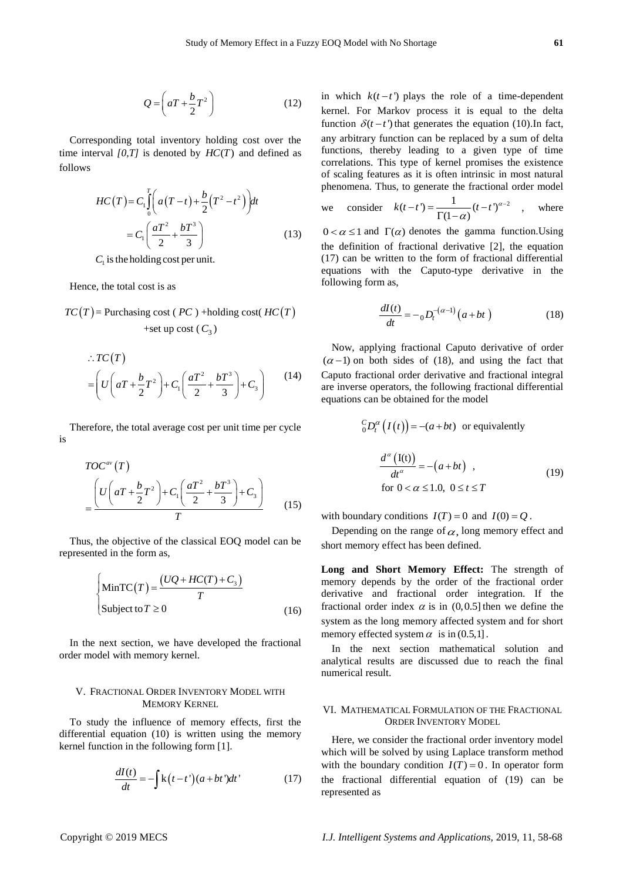$$
Q = \left( aT + \frac{b}{2}T^2 \right) \tag{12}
$$

Corresponding total inventory holding cost over the time interval  $[0, T]$  is denoted by  $HC(T)$  and defined as follows

$$
HC(T) = C_1 \int_0^T \left( a(T-t) + \frac{b}{2} (T^2 - t^2) \right) dt
$$
  
=  $C_1 \left( \frac{aT^2}{2} + \frac{bT^3}{3} \right)$  (13)

 $C_1$  is the holding cost per unit.

Hence, the total cost is as

 $T_{\rm{max}}$ 

$$
TC(T)
$$
 = Purchasing cost (*PC*) +holding cost(*HC*(*T*)  
+set up cost (*C*<sub>3</sub>)

$$
\therefore TC(T)
$$
  
=  $\left(U\left(aT + \frac{b}{2}T^2\right) + C_1\left(\frac{aT^2}{2} + \frac{bT^3}{3}\right) + C_3\right)$  (14)

Therefore, the total average cost per unit time per cycle is

$$
TOC^{av}(T)
$$
  
= 
$$
\frac{\left(U\left(aT + \frac{b}{2}T^2\right) + C_1\left(\frac{aT^2}{2} + \frac{bT^3}{3}\right) + C_3\right)}{T}
$$
 (15)

Thus, the objective of the classical EOQ model can be represented in the form as,

$$
\begin{cases}\n\text{MinTC}(T) = \frac{(UQ + HC(T) + C_3)}{T} \\
\text{Subject to } T \ge 0\n\end{cases}
$$
\n(16)

In the next section, we have developed the fractional order model with memory kernel.

# V. FRACTIONAL ORDER INVENTORY MODEL WITH MEMORY KERNEL

To study the influence of memory effects, first the differential equation (10) is written using the memory kernel function in the following form [1].

$$
\frac{dI(t)}{dt} = -\int k(t-t') (a+bt')dt' \tag{17}
$$

 $Q = (x^2 + \frac{3}{2}x^2)$ <br>
Consequent System content Maximid and Maximid and Maximid and Maximid and Maximid and Maximid Theodoric System and Theodoric System and Theodoric System and Theodoric System and Theodoric System and in which  $k(t-t')$  plays the role of a time-dependent kernel. For Markov process it is equal to the delta function  $\delta(t-t')$  that generates the equation (10).In fact, any arbitrary function can be replaced by a sum of delta functions, thereby leading to a given type of time correlations. This type of kernel promises the existence of scaling features as it is often intrinsic in most natural phenomena. Thus, to generate the fractional order model

we consider 
$$
k(t-t) = \frac{1}{\Gamma(1-\alpha)}(t-t)^{\alpha-2}
$$
, where

 $0 < \alpha \le 1$  and  $\Gamma(\alpha)$  denotes the gamma function. Using the definition of fractional derivative [2], the equation (17) can be written to the form of fractional differential equations with the Caputo-type derivative in the following form as,

$$
\frac{dI(t)}{dt} = - {}_0D_t^{-(\alpha-1)}(a+bt) \tag{18}
$$

Now, applying fractional Caputo derivative of order  $(\alpha - 1)$  on both sides of (18), and using the fact that Caputo fractional order derivative and fractional integral are inverse operators, the following fractional differential equations can be obtained for the model

$$
{}_{0}^{C}D_{t}^{\alpha}(I(t)) = -(a+bt) \text{ or equivalently}
$$

$$
\frac{d^{\alpha}(I(t))}{dt^{\alpha}} = -(a+bt) , \qquad (19)
$$
  
for  $0 < \alpha \le 1.0, 0 \le t \le T$ 

with boundary conditions  $I(T) = 0$  and  $I(0) = Q$ .

Depending on the range of  $\alpha$ , long memory effect and short memory effect has been defined.

**Long and Short Memory Effect:** The strength of memory depends by the order of the fractional order derivative and fractional order integration. If the fractional order index  $\alpha$  is in (0,0.5) then we define the system as the long memory affected system and for short memory effected system  $\alpha$  is in (0.5,1].

In the next section mathematical solution and analytical results are discussed due to reach the final numerical result.

#### VI. MATHEMATICAL FORMULATION OF THE FRACTIONAL ORDER INVENTORY MODEL

Here, we consider the fractional order inventory model which will be solved by using Laplace transform method with the boundary condition  $I(T) = 0$ . In operator form the fractional differential equation of (19) can be represented as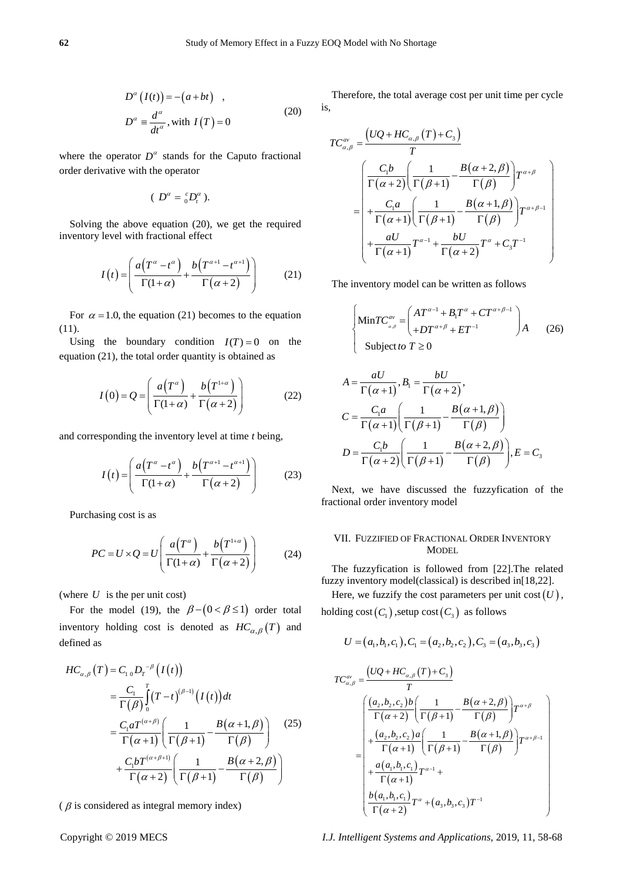$$
D^{\alpha} (I(t)) = -(a + bt) ,
$$
  
\n
$$
D^{\alpha} \equiv \frac{d^{\alpha}}{dt^{\alpha}}, \text{with } I(T) = 0
$$
\n(20)

where the operator  $D^{\alpha}$  stands for the Caputo fractional order derivative with the operator

$$
(D^{\alpha}=\ _{0}^{c}D_{t}^{\alpha}).
$$

Solving the above equation (20), we get the required inventory level with fractional effect

$$
I(t) = \left(\frac{a(T^{\alpha} - t^{\alpha})}{\Gamma(1 + \alpha)} + \frac{b(T^{\alpha+1} - t^{\alpha+1})}{\Gamma(\alpha + 2)}\right)
$$
(21)

For  $\alpha$  = 1.0, the equation (21) becomes to the equation (11).

Using the boundary condition  $I(T) = 0$  on the equation (21), the total order quantity is obtained as

$$
I(0) = Q = \left(\frac{a(T^{\alpha})}{\Gamma(1+\alpha)} + \frac{b(T^{1+\alpha})}{\Gamma(\alpha+2)}\right)
$$
(22)

and corresponding the inventory level at time *t* being,

$$
I(t) = \left(\frac{a(T^{\alpha} - t^{\alpha})}{\Gamma(1 + \alpha)} + \frac{b(T^{\alpha+1} - t^{\alpha+1})}{\Gamma(\alpha + 2)}\right)
$$
(23)

Purchasing cost is as

$$
PC = U \times Q = U \left( \frac{a(T^{\alpha})}{\Gamma(1+\alpha)} + \frac{b(T^{1+\alpha})}{\Gamma(\alpha+2)} \right)
$$
 (24)

(where  $U$  is the per unit cost)

For the model (19), the  $\beta - (0 < \beta \le 1)$  order total inventory holding cost is denoted as  $HC_{\alpha,\beta}(T)$  and defined as

$$
HC_{\alpha,\beta}(T) = C_{1} {}_{0}D_{T}^{-\beta}\left(I(t)\right)
$$
  
\n
$$
= \frac{C_{1}}{\Gamma(\beta)} \int_{0}^{T} (T-t)^{(\beta-1)}\left(I(t)\right)dt
$$
  
\n
$$
= \frac{C_{1} a T^{(\alpha+\beta)}}{\Gamma(\alpha+1)} \left(\frac{1}{\Gamma(\beta+1)} - \frac{B(\alpha+1,\beta)}{\Gamma(\beta)}\right) + \frac{C_{1} b T^{(\alpha+\beta+1)}}{\Gamma(\alpha+2)} \left(\frac{1}{\Gamma(\beta+1)} - \frac{B(\alpha+2,\beta)}{\Gamma(\beta)}\right)
$$
 (25)

 $\beta$  is considered as integral memory index)

Therefore, the total average cost per unit time per cycle is,

$$
TC_{\alpha,\beta}^{\alpha\nu} = \frac{\left(UQ + HC_{\alpha,\beta}\left(T\right) + C_3\right)}{T}
$$
  
= 
$$
\begin{pmatrix} \frac{C_1b}{\Gamma(\alpha+2)} \left(\frac{1}{\Gamma(\beta+1)} - \frac{B(\alpha+2,\beta)}{\Gamma(\beta)}\right) T^{\alpha+\beta} \\ + \frac{C_1a}{\Gamma(\alpha+1)} \left(\frac{1}{\Gamma(\beta+1)} - \frac{B(\alpha+1,\beta)}{\Gamma(\beta)}\right) T^{\alpha+\beta-1} \\ + \frac{aU}{\Gamma(\alpha+1)} T^{\alpha-1} + \frac{bU}{\Gamma(\alpha+2)} T^{\alpha} + C_3 T^{-1} \end{pmatrix}
$$

The inventory model can be written as follows

$$
\begin{cases}\n\text{Min}TC_{\alpha,\beta}^{\alpha\nu} = \begin{pmatrix} AT^{\alpha-1} + B_1T^{\alpha} + CT^{\alpha+\beta-1} \\ + DT^{\alpha+\beta} + ET^{-1} \end{pmatrix} A \qquad (26) \\
\text{Subject to } T \ge 0\n\end{cases}
$$

$$
A = \frac{aU}{\Gamma(\alpha+1)}, B_1 = \frac{bU}{\Gamma(\alpha+2)},
$$
  
\n
$$
C = \frac{C_1a}{\Gamma(\alpha+1)} \left( \frac{1}{\Gamma(\beta+1)} - \frac{B(\alpha+1,\beta)}{\Gamma(\beta)} \right)
$$
  
\n
$$
D = \frac{C_1b}{\Gamma(\alpha+2)} \left( \frac{1}{\Gamma(\beta+1)} - \frac{B(\alpha+2,\beta)}{\Gamma(\beta)} \right), E = C_3
$$

Next, we have discussed the fuzzyfication of the fractional order inventory model

# VII. FUZZIFIED OF FRACTIONAL ORDER INVENTORY **MODEL**

The fuzzyfication is followed from [22].The related fuzzy inventory model(classical) is described in[18,22].

Here, we fuzzify the cost parameters per unit  $cost(U)$ ,

holding  $\mathsf{cost}\big(C_1\big)$  ,setup  $\mathsf{cost}\big(C_3\big)$  as follows

$$
U = (a_1, b_1, c_1), C_1 = (a_2, b_2, c_2), C_3 = (a_3, b_3, c_3)
$$

$$
TC_{\alpha,\beta}^{av} = \frac{\left(UQ + HC_{\alpha,\beta}(T) + C_3\right)}{T}
$$
  
\n
$$
= \begin{pmatrix} \frac{(a_2,b_2,c_2)b}{\Gamma(\alpha+2)} \left(\frac{1}{\Gamma(\beta+1)} - \frac{B(\alpha+2,\beta)}{\Gamma(\beta)}\right) T^{\alpha+\beta} \\ + \frac{(a_2,b_2,c_2)a}{\Gamma(\alpha+1)} \left(\frac{1}{\Gamma(\beta+1)} - \frac{B(\alpha+1,\beta)}{\Gamma(\beta)}\right) T^{\alpha+\beta-1} \\ + \frac{a(a_1,b_1,c_1)}{\Gamma(\alpha+1)} T^{\alpha-1} + \\ \frac{b(a_1,b_1,c_1)}{\Gamma(\alpha+2)} T^{\alpha} + (a_3,b_3,c_3) T^{-1} \end{pmatrix}
$$

Copyright © 2019 MECS *I.J. Intelligent Systems and Applications,* 2019, 11, 58-68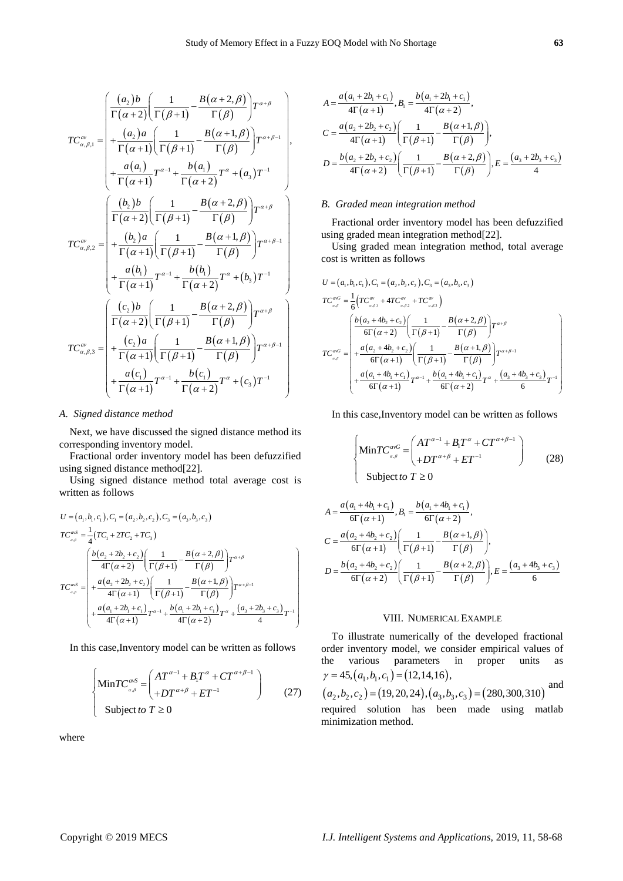$$
TC_{\alpha,\beta,1}^{\alpha} = \begin{pmatrix} \frac{(a_2)b}{\Gamma(\alpha+2)} \frac{1}{\Gamma(\beta+1)} - \frac{B(\alpha+2,\beta)}{\Gamma(\beta)} \frac{1}{\Gamma(\beta+1)} \\ + \frac{(a_2)a}{\Gamma(\alpha+1)} \frac{1}{\Gamma(\beta+1)} - \frac{B(\alpha+1,\beta)}{\Gamma(\beta)} \frac{1}{\Gamma(\alpha+1)} \\ + \frac{a(a_1)}{\Gamma(\alpha+1)} T^{\alpha-1} + \frac{b(a_1)}{\Gamma(\alpha+2)} T^{\alpha} + (a_3) T^{-1} \end{pmatrix},
$$
  

$$
TC_{\alpha,\beta,2}^{\alpha} = \begin{pmatrix} \frac{(b_2)b}{\Gamma(\alpha+2)} \frac{1}{\Gamma(\beta+1)} - \frac{B(\alpha+2,\beta)}{\Gamma(\beta)} \frac{1}{\Gamma(\alpha+\beta)} \\ + \frac{(b_2)a}{\Gamma(\alpha+1)} \frac{1}{\Gamma(\beta+1)} - \frac{B(\alpha+1,\beta)}{\Gamma(\beta)} \frac{1}{\Gamma(\alpha+\beta)} \\ + \frac{a(b_1)}{\Gamma(\alpha+1)} T^{\alpha-1} + \frac{b(b_1)}{\Gamma(\alpha+2)} T^{\alpha} + (b_3) T^{-1} \end{pmatrix}
$$
  

$$
TC_{\alpha,\beta,3}^{\alpha} = \begin{pmatrix} \frac{(c_2)b}{\Gamma(\alpha+2)} \frac{1}{\Gamma(\beta+1)} - \frac{B(\alpha+2,\beta)}{\Gamma(\beta)} \frac{1}{\Gamma(\alpha+\beta)} \\ + \frac{(c_2)a}{\Gamma(\alpha+1)} \frac{1}{\Gamma(\beta+1)} - \frac{B(\alpha+1,\beta)}{\Gamma(\beta)} \frac{1}{\Gamma(\alpha+\beta)} \\ + \frac{a(c_1)}{\Gamma(\alpha+1)} T^{\alpha-1} + \frac{b(c_1)}{\Gamma(\alpha+2)} T^{\alpha} + (c_3) T^{-1} \end{pmatrix}
$$

#### *A. Signed distance method*

Next, we have discussed the signed distance method its corresponding inventory model.

Fractional order inventory model has been defuzzified using signed distance method[22].

Using signed distance method total average cost is written as follows

$$
U = (a_1, b_1, c_1), C_1 = (a_2, b_2, c_2), C_3 = (a_3, b_3, c_3)
$$
  
\n
$$
TC_{a, \beta}^{ans} = \frac{1}{4}(TC_1 + 2TC_2 + TC_3)
$$
  
\n
$$
TC_{a, \beta}^{ans} = \frac{\left(\frac{b(a_2 + 2b_2 + c_2)}{4\Gamma(\alpha + 2)}\left(\frac{1}{\Gamma(\beta + 1)} - \frac{B(\alpha + 2, \beta)}{\Gamma(\beta)}\right)T^{\alpha + \beta}\right)}{\Gamma(\beta + 1)} + \frac{a(a_2 + 2b_2 + c_2)}{4\Gamma(\alpha + 1)}\left(\frac{1}{\Gamma(\beta + 1)} - \frac{B(\alpha + 1, \beta)}{\Gamma(\beta)}\right)T^{\alpha + \beta - 1}
$$
  
\n
$$
+\frac{a(a_1 + 2b_1 + c_1)}{4\Gamma(\alpha + 1)}T^{\alpha - 1} + \frac{b(a_1 + 2b_1 + c_1)}{4\Gamma(\alpha + 2)}T^{\alpha} + \frac{(a_3 + 2b_3 + c_3)}{4}T^{-1}
$$

In this case,Inventory model can be written as follows

$$
\begin{cases}\n\text{Min}TC_{\alpha,\beta}^{\alpha\nu S} = \begin{pmatrix} AT^{\alpha-1} + B_1T^{\alpha} + CT^{\alpha+\beta-1} \\ + DT^{\alpha+\beta} + ET^{-1} \end{pmatrix} \\
\text{Subject to } T \ge 0\n\end{cases}
$$
\n(27)

where

$$
A = \frac{a(a_1 + 2b_1 + c_1)}{4\Gamma(\alpha + 1)}, B_1 = \frac{b(a_1 + 2b_1 + c_1)}{4\Gamma(\alpha + 2)},
$$
  
\n
$$
C = \frac{a(a_2 + 2b_2 + c_2)}{4\Gamma(\alpha + 1)} \left(\frac{1}{\Gamma(\beta + 1)} - \frac{B(\alpha + 1, \beta)}{\Gamma(\beta)}\right),
$$
  
\n
$$
D = \frac{b(a_2 + 2b_2 + c_2)}{4\Gamma(\alpha + 2)} \left(\frac{1}{\Gamma(\beta + 1)} - \frac{B(\alpha + 2, \beta)}{\Gamma(\beta)}\right), E = \frac{(a_3 + 2b_3 + c_3)}{4}
$$

#### *B. Graded mean integration method*

Fractional order inventory model has been defuzzified using graded mean integration method[22].

Using graded mean integration method, total average cost is written as follows

cost is written as follows  
\n
$$
U = (a_1, b_1, c_1), C_1 = (a_2, b_2, c_2), C_3 = (a_3, b_3, c_3)
$$
\n
$$
TC_{a,\beta}^{aG} = \frac{1}{6} \left( TC_{a,\beta,1}^{av} + 4TC_{a,\beta,2}^{av} + TC_{a,\beta,3}^{av} \right)
$$
\n
$$
TC_{a,\beta}^{aG} = \begin{pmatrix} \frac{b(a_2 + 4b_2 + c_2)}{6\Gamma(\alpha + 2)} \left( \frac{1}{\Gamma(\beta + 1)} - \frac{B(\alpha + 2,\beta)}{\Gamma(\beta)} \right) T^{\alpha + \beta} \\ + \frac{a(a_2 + 4b_2 + c_2)}{6\Gamma(\alpha + 1)} \left( \frac{1}{\Gamma(\beta + 1)} - \frac{B(\alpha + 1,\beta)}{\Gamma(\beta)} \right) T^{\alpha + \beta - 1} \\ + \frac{a(a_1 + 4b_1 + c_1)}{6\Gamma(\alpha + 1)} T^{\alpha - 1} + \frac{b(a_1 + 4b_1 + c_1)}{6\Gamma(\alpha + 2)} T^{\alpha} + \frac{(a_3 + 4b_3 + c_3)}{6} T^{-1} \end{pmatrix}
$$

In this case,Inventory model can be written as follows

$$
\begin{cases}\n\text{MinTC}_{\alpha,\beta}^{\alpha G} = \begin{pmatrix} AT^{\alpha-1} + B_1 T^{\alpha} + CT^{\alpha+\beta-1} \\ + DT^{\alpha+\beta} + ET^{-1} \end{pmatrix} \\
\text{Subject to } T \ge 0\n\end{cases}
$$
\n(28)

$$
A = \frac{a(a_1 + 4b_1 + c_1)}{6\Gamma(\alpha + 1)}, B_1 = \frac{b(a_1 + 4b_1 + c_1)}{6\Gamma(\alpha + 2)},
$$
  
\n
$$
C = \frac{a(a_2 + 4b_2 + c_2)}{6\Gamma(\alpha + 1)} \left(\frac{1}{\Gamma(\beta + 1)} - \frac{B(\alpha + 1, \beta)}{\Gamma(\beta)}\right),
$$
  
\n
$$
D = \frac{b(a_2 + 4b_2 + c_2)}{6\Gamma(\alpha + 2)} \left(\frac{1}{\Gamma(\beta + 1)} - \frac{B(\alpha + 2, \beta)}{\Gamma(\beta)}\right), E = \frac{(a_3 + 4b_3 + c_3)}{6}
$$

# VIII. NUMERICAL EXAMPLE

To illustrate numerically of the developed fractional order inventory model, we consider empirical values of the various parameters in proper units as various parameters<br>45,  $(a_1, b_1, c_1) = (12, 14, 16)$ ,  $\sum_{a_1, b_1, c}$ the various paramet<br>  $\gamma = 45, (a_1, b_1, c_1) = (12, 14)$ and

$$
\gamma = 45, (a_1, b_1, c_1) = (12, 14, 16),
$$
  
\n $(a_2, b_2, c_2) = (19, 20, 24), (a_3, b_3, c_3) = (280, 300, 310)$  and

required solution has been made using matlab minimization method.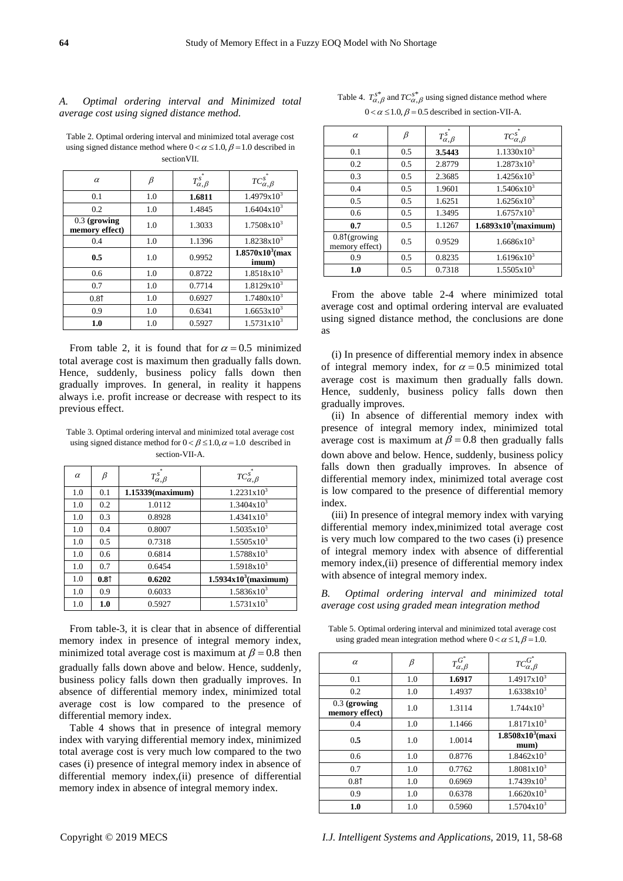# *A. Optimal ordering interval and Minimized total average cost using signed distance method.*

Table 2. Optimal ordering interval and minimized total average cost using signed distance method where  $0 < \alpha \leq 1.0$ ,  $\beta = 1.0$  described in sectionVII.

| $\alpha$                       | $_{\beta}$ | $T_{\alpha,\beta}^{s^*}$ | $TC_{\alpha,\beta}^{s^*}$  |
|--------------------------------|------------|--------------------------|----------------------------|
| 0.1                            | 1.0        | 1.6811                   | $1.4979x10^{3}$            |
| 0.2                            | 1.0        | 1.4845                   | $1.6404x10^{3}$            |
| 0.3 (growing<br>memory effect) | 1.0        | 1.3033                   | $1.7508x10^{3}$            |
| 0.4                            | 1.0        | 1.1396                   | $1.8238x10^3$              |
| 0.5                            | 1.0        | 0.9952                   | $1.8570x103$ (max<br>imum) |
| 0.6                            | 1.0        | 0.8722                   | $1.8518x10^3$              |
| 0.7                            | 1.0        | 0.7714                   | $1.8129x10^3$              |
| 0.81                           | 1.0        | 0.6927                   | $1.7480x10^3$              |
| 0.9                            | 1.0        | 0.6341                   | $1.6653 \times 10^{3}$     |
| 1.0                            | 1.0        | 0.5927                   | $1.5731x10^{3}$            |

From table 2, it is found that for  $\alpha = 0.5$  minimized total average cost is maximum then gradually falls down. Hence, suddenly, business policy falls down then gradually improves. In general, in reality it happens always i.e. profit increase or decrease with respect to its previous effect.

Table 3. Optimal ordering interval and minimized total average cost using signed distance method for  $0 < \beta \le 1.0$ ,  $\alpha = 1.0$  described in section-VII-A.

| $\alpha$ | ß    | $T_{\alpha,\beta}^{s^*}$ | $TC_{\alpha,\beta}^{s^*}$ |
|----------|------|--------------------------|---------------------------|
| 1.0      | 0.1  | $1.15339$ (maximum)      | $1.2231 \times 10^3$      |
| 1.0      | 0.2  | 1.0112                   | $1.3404 \times 10^{3}$    |
| 1.0      | 0.3  | 0.8928                   | $1.4341x10^{3}$           |
| 1.0      | 0.4  | 0.8007                   | $1.5035x10^{3}$           |
| 1.0      | 0.5  | 0.7318                   | $1.5505 \times 10^{3}$    |
| 1.0      | 0.6  | 0.6814                   | $1.5788 \times 10^3$      |
| 1.0      | 0.7  | 0.6454                   | $1.5918x10^{3}$           |
| 1.0      | 0.81 | 0.6202                   | $1.5934x103$ (maximum)    |
| 1.0      | 0.9  | 0.6033                   | $1.5836x10^{3}$           |
| 1.0      | 1.0  | 0.5927                   | $1.5731x10^{3}$           |

From table-3, it is clear that in absence of differential memory index in presence of integral memory index, minimized total average cost is maximum at  $\beta = 0.8$  then gradually falls down above and below. Hence, suddenly, business policy falls down then gradually improves. In absence of differential memory index, minimized total average cost is low compared to the presence of differential memory index.

Table 4 shows that in presence of integral memory index with varying differential memory index, minimized total average cost is very much low compared to the two cases (i) presence of integral memory index in absence of differential memory index,(ii) presence of differential memory index in absence of integral memory index.

Table 4.  $T_{\alpha,\beta}^{s^*}$  and  $TC_{\alpha,\beta}^{s^*}$  using signed distance method where  $0 < \alpha \leq 1.0$ ,  $\beta = 0.5$  described in section-VII-A.

| $\alpha$                                 | β   | $T_{\alpha,\beta}^{s^*}$ | $TC_{\alpha,\beta}^s$  |
|------------------------------------------|-----|--------------------------|------------------------|
| 0.1                                      | 0.5 | 3.5443                   | $1.1330x10^{3}$        |
| 0.2                                      | 0.5 | 2.8779                   | $1.2873 \times 10^3$   |
| 0.3                                      | 0.5 | 2.3685                   | $1.4256x10^{3}$        |
| 0.4                                      | 0.5 | 1.9601                   | $1.5406x10^{3}$        |
| 0.5                                      | 0.5 | 1.6251                   | $1.6256x10^{3}$        |
| 0.6                                      | 0.5 | 1.3495                   | $1.6757 \times 10^3$   |
| 0.7                                      | 0.5 | 1.1267                   | $1.6893x103$ (maximum) |
| $0.8\text{T}$ (growing<br>memory effect) | 0.5 | 0.9529                   | $1.6686x10^{3}$        |
| 0.9                                      | 0.5 | 0.8235                   | $1.6196x10^{3}$        |
| 1.0                                      | 0.5 | 0.7318                   | $1.5505 \times 10^3$   |

From the above table 2-4 where minimized total average cost and optimal ordering interval are evaluated using signed distance method, the conclusions are done as

(i) In presence of differential memory index in absence of integral memory index, for  $\alpha = 0.5$  minimized total average cost is maximum then gradually falls down. Hence, suddenly, business policy falls down then gradually improves.

(ii) In absence of differential memory index with presence of integral memory index, minimized total average cost is maximum at  $\beta = 0.8$  then gradually falls down above and below. Hence, suddenly, business policy falls down then gradually improves. In absence of differential memory index, minimized total average cost is low compared to the presence of differential memory index.

(iii) In presence of integral memory index with varying differential memory index,minimized total average cost is very much low compared to the two cases (i) presence of integral memory index with absence of differential memory index,(ii) presence of differential memory index with absence of integral memory index.

*B. Optimal ordering interval and minimized total average cost using graded mean integration method*

Table 5. Optimal ordering interval and minimized total average cost using graded mean integration method where  $0 < \alpha \leq 1, \beta = 1.0$ .

| $\alpha$                         | $\beta$ | $T_{\alpha,\beta}^{G^*}$ | $TC_{\alpha,\beta}^{G^*}$  |
|----------------------------------|---------|--------------------------|----------------------------|
| 0.1                              | 1.0     | 1.6917                   | $1.4917x10^{3}$            |
| 0.2                              | 1.0     | 1.4937                   | $1.6338x10^{3}$            |
| $0.3$ (growing<br>memory effect) | 1.0     | 1.3114                   | $1.744 \times 10^3$        |
| 0.4                              | 1.0     | 1.1466                   | 1.8171x10 <sup>3</sup>     |
|                                  |         |                          |                            |
| 0.5                              | 1.0     | 1.0014                   | $1.8508x103$ (maxi<br>mum) |
| 0.6                              | 1.0     | 0.8776                   | $1.8462 \times 10^3$       |
| 0.7                              | 1.0     | 0.7762                   | $1.8081 \times 10^3$       |
| 0.81                             | 1.0     | 0.6969                   | $1.7439x10^{3}$            |
| 0.9                              | 1.0     | 0.6378                   | $1.6620 \times 10^3$       |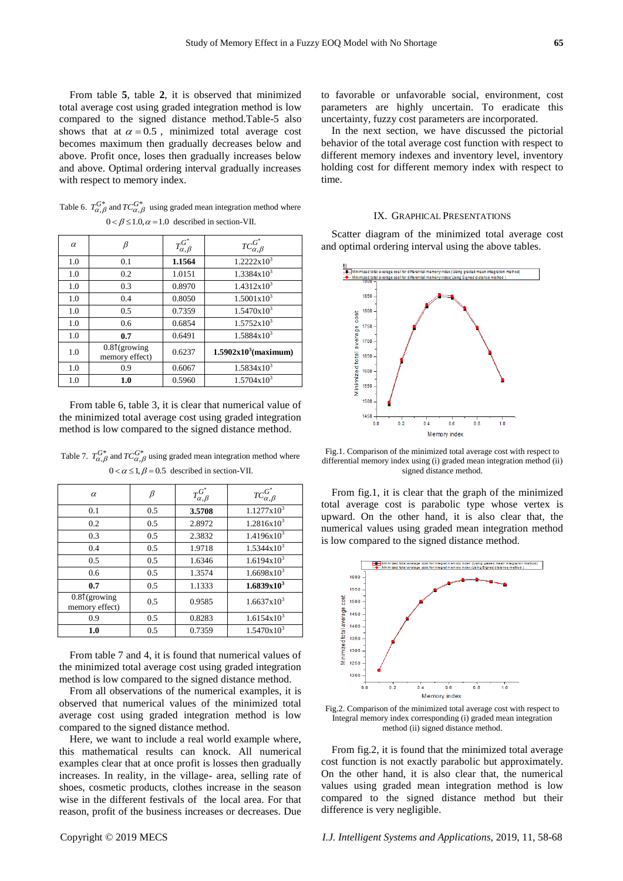From table **5**, table **2**, it is observed that minimized total average cost using graded integration method is low compared to the signed distance method.Table-5 also shows that at  $\alpha = 0.5$ , minimized total average cost becomes maximum then gradually decreases below and above. Profit once, loses then gradually increases below and above. Optimal ordering interval gradually increases with respect to memory index.

Table 6.  $T_{\alpha,\beta}^{G^*}$  and  $TC_{\alpha,\beta}^{G^*}$  using graded mean integration method where  $0 < \beta \leq 1.0, \alpha = 1.0$  described in section-VII.

| $\alpha$ | β                                 | $T_{\alpha,\beta}^{G^*}$ | $TC_{\alpha,\beta}^{G^*}$ |
|----------|-----------------------------------|--------------------------|---------------------------|
| 1.0      | 0.1                               | 1.1564                   | $1.2222x10^3$             |
| 1.0      | 0.2                               | 1.0151                   | $1.3384 \times 10^3$      |
| 1.0      | 0.3                               | 0.8970                   | $1.4312x10^3$             |
| 1.0      | 0.4                               | 0.8050                   | $1.5001 \times 10^{3}$    |
| 1.0      | 0.5                               | 0.7359                   | $1.5470x10^{3}$           |
| 1.0      | 0.6                               | 0.6854                   | $1.5752 \times 10^3$      |
| 1.0      | 0.7                               | 0.6491                   | $1.5884 \times 10^{3}$    |
| 1.0      | $0.8\$ (growing<br>memory effect) | 0.6237                   | $1.5902x103$ (maximum)    |
| 1.0      | 0.9                               | 0.6067                   | $1.5834x10^3$             |
| 1.0      | 1.0                               | 0.5960                   | $1.5704 \times 10^{3}$    |

From table 6, table 3, it is clear that numerical value of the minimized total average cost using graded integration method is low compared to the signed distance method.

| $\alpha$                                 | ß   | $T_{\alpha,\beta}^{G^*}$ | $TC_{\alpha,\beta}^{G^*}$ |
|------------------------------------------|-----|--------------------------|---------------------------|
| 0.1                                      | 0.5 | 3.5708                   | $1.1277 \times 10^3$      |
| 0.2                                      | 0.5 | 2.8972                   | $1.2816x10^{3}$           |
| 0.3                                      | 0.5 | 2.3832                   | $1.4196x10^{3}$           |
| 0.4                                      | 0.5 | 1.9718                   | $1.5344 \times 10^3$      |
| 0.5                                      | 0.5 | 1.6346                   | $1.6194x10^{3}$           |
| 0.6                                      | 0.5 | 1.3574                   | $1.6698x10^{3}$           |
| 0.7                                      | 0.5 | 1.1333                   | 1.6839x10 <sup>3</sup>    |
| $0.8\uparrow$ (growing<br>memory effect) | 0.5 | 0.9585                   | $1.6637x10^{3}$           |
| 0.9                                      | 0.5 | 0.8283                   | $1.6154x10^3$             |
| 1.0                                      | 0.5 | 0.7359                   | $1.5470x10^{3}$           |

Table 7.  $T_{\alpha,\beta}^{G^*}$  and  $TC_{\alpha,\beta}^{G^*}$  using graded mean integration method where  $0 < \alpha \leq 1, \beta = 0.5$  described in section-VII.

From table 7 and 4, it is found that numerical values of the minimized total average cost using graded integration method is low compared to the signed distance method.

From all observations of the numerical examples, it is observed that numerical values of the minimized total average cost using graded integration method is low compared to the signed distance method.

Here, we want to include a real world example where, this mathematical results can knock. All numerical examples clear that at once profit is losses then gradually increases. In reality, in the village- area, selling rate of shoes, cosmetic products, clothes increase in the season wise in the different festivals of the local area. For that reason, profit of the business increases or decreases. Due

In the next section, we have discussed the pictorial behavior of the total average cost function with respect to different memory indexes and inventory level, inventory holding cost for different memory index with respect to time.

#### IX. GRAPHICAL PRESENTATIONS

Scatter diagram of the minimized total average cost and optimal ordering interval using the above tables.



Fig.1. Comparison of the minimized total average cost with respect to differential memory index using (i) graded mean integration method (ii) signed distance method.

From fig.1, it is clear that the graph of the minimized total average cost is parabolic type whose vertex is upward. On the other hand, it is also clear that, the numerical values using graded mean integration method is low compared to the signed distance method.



Fig.2. Comparison of the minimized total average cost with respect to Integral memory index corresponding (i) graded mean integration method (ii) signed distance method.

From fig.2, it is found that the minimized total average cost function is not exactly parabolic but approximately. On the other hand, it is also clear that, the numerical values using graded mean integration method is low compared to the signed distance method but their difference is very negligible.

Copyright © 2019 MECS *I.J. Intelligent Systems and Applications,* 2019, 11, 58-68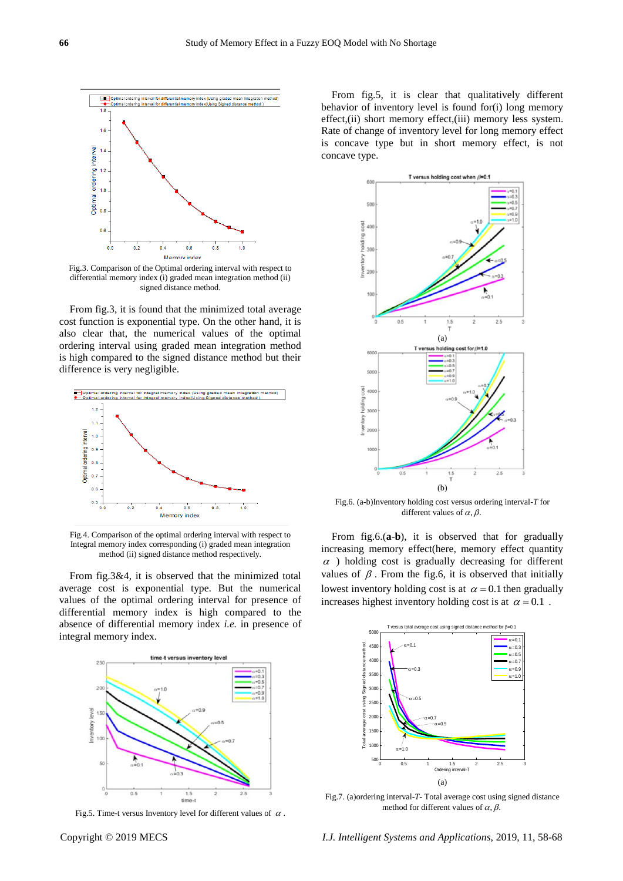

Fig.3. Comparison of the Optimal ordering interval with respect to differential memory index (i) graded mean integration method (ii) signed distance method.

From fig.3, it is found that the minimized total average cost function is exponential type. On the other hand, it is also clear that, the numerical values of the optimal ordering interval using graded mean integration method is high compared to the signed distance method but their difference is very negligible.



Fig.4. Comparison of the optimal ordering interval with respect to Integral memory index corresponding (i) graded mean integration method (ii) signed distance method respectively.

From fig.3&4, it is observed that the minimized total average cost is exponential type. But the numerical values of the optimal ordering interval for presence of differential memory index is high compared to the absence of differential memory index *i.e.* in presence of integral memory index.



Fig.5. Time-t versus Inventory level for different values of  $\alpha$ .

From fig.5, it is clear that qualitatively different behavior of inventory level is found for(i) long memory effect,(ii) short memory effect,(iii) memory less system. Rate of change of inventory level for long memory effect is concave type but in short memory effect, is not concave type.



Fig.6. (a-b)Inventory holding cost versus ordering interval-*T* for different values of  $\alpha$ ,  $\beta$ .

From fig.6.(**a**-**b**), it is observed that for gradually increasing memory effect(here, memory effect quantity  $\alpha$  ) holding cost is gradually decreasing for different values of  $\beta$ . From the fig.6, it is observed that initially lowest inventory holding cost is at  $\alpha = 0.1$  then gradually increases highest inventory holding cost is at  $\alpha = 0.1$ .



Fig.7. (a)ordering interval-*T-* Total average cost using signed distance method for different values of  $\alpha$ ,  $\beta$ .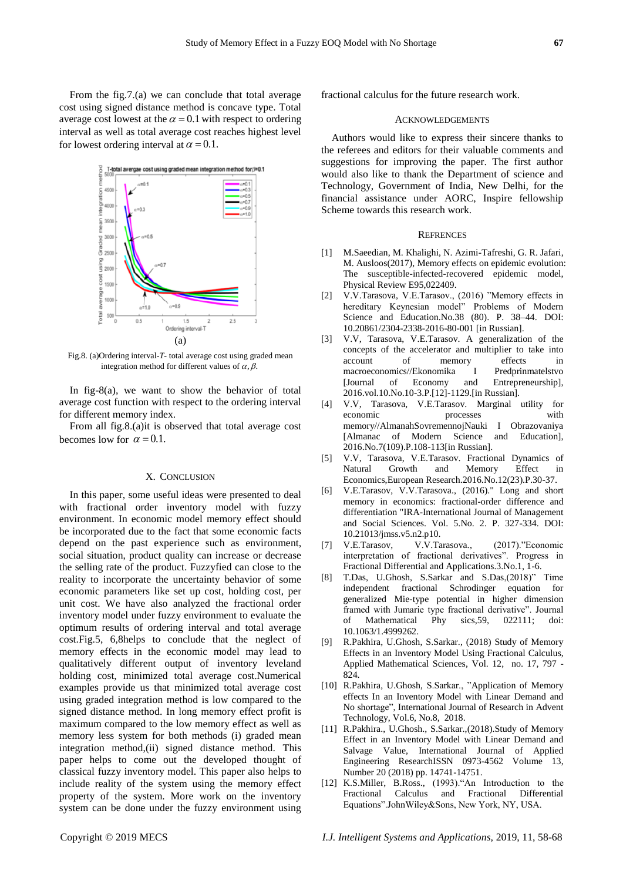From the fig.7.(a) we can conclude that total average cost using signed distance method is concave type. Total average cost lowest at the  $\alpha = 0.1$  with respect to ordering interval as well as total average cost reaches highest level for lowest ordering interval at  $\alpha = 0.1$ .



Fig.8. (a)Ordering interval-*T*- total average cost using graded mean integration method for different values of  $\alpha$ ,  $\beta$ .

In fig-8(a), we want to show the behavior of total average cost function with respect to the ordering interval for different memory index.

From all fig.8.(a)it is observed that total average cost becomes low for  $\alpha = 0.1$ .

# X. CONCLUSION

In this paper, some useful ideas were presented to deal with fractional order inventory model with fuzzy environment. In economic model memory effect should be incorporated due to the fact that some economic facts depend on the past experience such as environment, social situation, product quality can increase or decrease the selling rate of the product. Fuzzyfied can close to the reality to incorporate the uncertainty behavior of some economic parameters like set up cost, holding cost, per unit cost. We have also analyzed the fractional order inventory model under fuzzy environment to evaluate the optimum results of ordering interval and total average cost.Fig.5, 6,8helps to conclude that the neglect of memory effects in the economic model may lead to qualitatively different output of inventory leveland holding cost, minimized total average cost.Numerical examples provide us that minimized total average cost using graded integration method is low compared to the signed distance method. In long memory effect profit is maximum compared to the low memory effect as well as memory less system for both methods (i) graded mean integration method,(ii) signed distance method. This paper helps to come out the developed thought of classical fuzzy inventory model. This paper also helps to include reality of the system using the memory effect property of the system. More work on the inventory system can be done under the fuzzy environment using fractional calculus for the future research work.

#### ACKNOWLEDGEMENTS

Authors would like to express their sincere thanks to the referees and editors for their valuable comments and suggestions for improving the paper. The first author would also like to thank the Department of science and Technology, Government of India, New Delhi, for the financial assistance under AORC, Inspire fellowship Scheme towards this research work.

#### **REFRENCES**

- [1] M.Saeedian, M. Khalighi, N. Azimi-Tafreshi, G. R. Jafari, M. Ausloos(2017), Memory effects on epidemic evolution: The susceptible-infected-recovered epidemic model, Physical Review E95,022409.
- [2] V.V.Tarasova, V.E.Tarasov., (2016) "Memory effects in hereditary Keynesian model" Problems of Modern Science and Education.No.38 (80). P. 38–44. DOI: 10.20861/2304-2338-2016-80-001 [in Russian].
- [3] V.V, Tarasova, V.E.Tarasov. A generalization of the concepts of the accelerator and multiplier to take into account of memory effects in macroeconomics//Ekonomika I Predprinmatelstvo<br>
[Journal of Economy and Entrepreneurship], [Journal of Economy and Entrepreneurship], 2016.vol.10.No.10-3.P.[12]-1129.[in Russian].
- [4] V.V, Tarasova, V.E.Tarasov. Marginal utility for economic processes with memory//AlmanahSovremennojNauki I Obrazovaniya [Almanac of Modern Science and Education], 2016.No.7(109).P.108-113[in Russian].
- [5] V.V, Tarasova, V.E.Tarasov. Fractional Dynamics of Natural Growth and Memory Effect in Economics,European Research.2016.No.12(23).P.30-37.
- [6] V.E.Tarasov, V.V.Tarasova., (2016)." Long and short memory in economics: fractional-order difference and differentiation "IRA-International Journal of Management and Social Sciences. Vol. 5.No. 2. P. 327-334. DOI: 10.21013/jmss.v5.n2.p10.
- [7] V.E.Tarasov, V.V.Tarasova., (2017)."Economic interpretation of fractional derivatives". Progress in Fractional Differential and Applications.3.No.1, 1-6.
- [8] T.Das, U.Ghosh, S.Sarkar and S.Das,(2018)" Time independent fractional Schrodinger equation for generalized Mie-type potential in higher dimension framed with Jumarie type fractional derivative". Journal of Mathematical Phy sics,59, 022111; doi: 10.1063/1.4999262.
- [9] R.Pakhira, U.Ghosh, S.Sarkar., (2018) Study of Memory Effects in an Inventory Model Using Fractional Calculus, Applied Mathematical Sciences, Vol. 12, no. 17, 797 - 824.
- [10] R.Pakhira, U.Ghosh, S.Sarkar., "Application of Memory effects In an Inventory Model with Linear Demand and No shortage", International Journal of Research in Advent Technology, Vol.6, No.8, 2018.
- [11] R.Pakhira., U.Ghosh., S.Sarkar.,(2018).Study of Memory Effect in an Inventory Model with Linear Demand and Salvage Value, International Journal of Applied Engineering ResearchISSN 0973-4562 Volume 13, Number 20 (2018) pp. 14741-14751.
- [12] K.S.Miller, B.Ross., (1993). "An Introduction to the Fractional Calculus and Fractional Differential Equations".JohnWiley&Sons, New York, NY, USA.